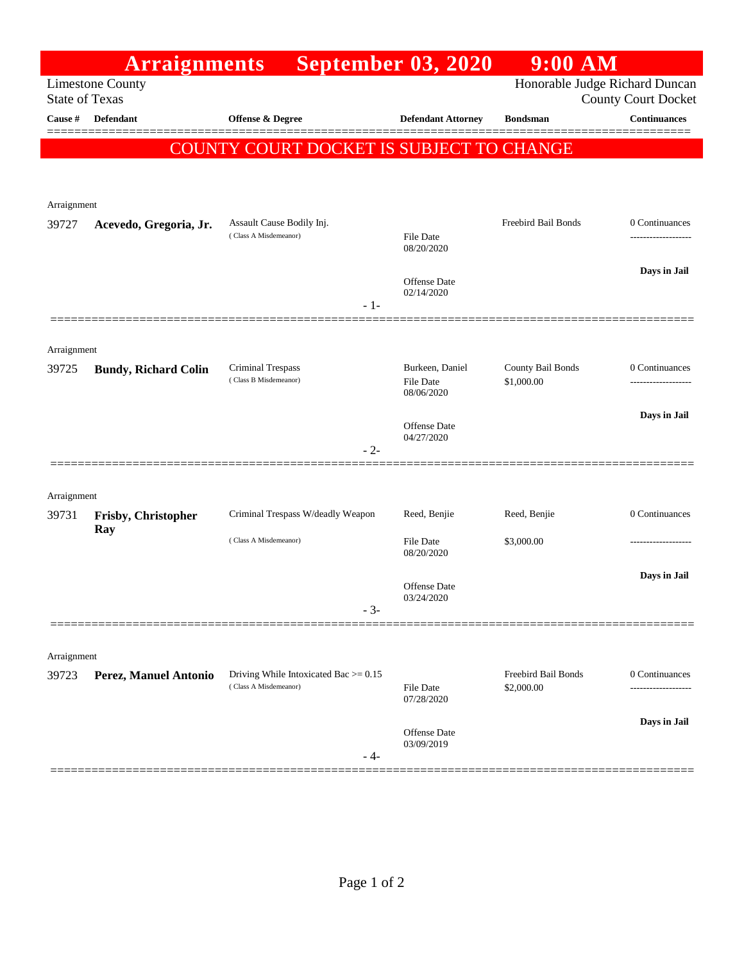|                                                  | <b>Arraignments</b>         |                                                                  | <b>September 03, 2020</b>           | $9:00$ AM                       |                                                              |
|--------------------------------------------------|-----------------------------|------------------------------------------------------------------|-------------------------------------|---------------------------------|--------------------------------------------------------------|
| <b>Limestone County</b><br><b>State of Texas</b> |                             |                                                                  |                                     |                                 | Honorable Judge Richard Duncan<br><b>County Court Docket</b> |
| Cause #                                          | Defendant                   | Offense & Degree                                                 | <b>Defendant Attorney</b>           | <b>Bondsman</b>                 | <b>Continuances</b>                                          |
|                                                  |                             | COUNTY COURT DOCKET IS SUBJECT TO CHANGE                         |                                     |                                 | ======                                                       |
|                                                  |                             |                                                                  |                                     |                                 |                                                              |
| Arraignment                                      |                             |                                                                  |                                     |                                 |                                                              |
| 39727                                            | Acevedo, Gregoria, Jr.      | Assault Cause Bodily Inj.<br>(Class A Misdemeanor)               | <b>File Date</b>                    | Freebird Bail Bonds             | 0 Continuances<br>-----------------                          |
|                                                  |                             |                                                                  | 08/20/2020                          |                                 |                                                              |
|                                                  |                             |                                                                  | <b>Offense Date</b>                 |                                 | Days in Jail                                                 |
|                                                  |                             | - 1-                                                             | 02/14/2020                          |                                 |                                                              |
|                                                  |                             |                                                                  |                                     |                                 |                                                              |
| Arraignment                                      |                             |                                                                  |                                     |                                 |                                                              |
| 39725                                            | <b>Bundy, Richard Colin</b> | <b>Criminal Trespass</b><br>(Class B Misdemeanor)                | Burkeen, Daniel<br><b>File Date</b> | County Bail Bonds<br>\$1,000.00 | 0 Continuances<br>------------------                         |
|                                                  |                             |                                                                  | 08/06/2020                          |                                 |                                                              |
|                                                  |                             |                                                                  | <b>Offense</b> Date<br>04/27/2020   |                                 | Days in Jail                                                 |
|                                                  |                             | $-2-$                                                            |                                     |                                 |                                                              |
|                                                  |                             |                                                                  |                                     |                                 |                                                              |
| Arraignment                                      |                             | Criminal Trespass W/deadly Weapon                                | Reed, Benjie                        | Reed, Benjie                    | 0 Continuances                                               |
| 39731                                            | Frisby, Christopher<br>Ray  |                                                                  |                                     |                                 |                                                              |
|                                                  |                             | (Class A Misdemeanor)                                            | <b>File Date</b><br>08/20/2020      | \$3,000.00                      | .                                                            |
|                                                  |                             |                                                                  | <b>Offense</b> Date                 |                                 | Days in Jail                                                 |
|                                                  |                             | $-3-$                                                            | 03/24/2020                          |                                 |                                                              |
|                                                  |                             |                                                                  |                                     |                                 |                                                              |
| Arraignment                                      |                             |                                                                  |                                     |                                 |                                                              |
| 39723                                            | Perez, Manuel Antonio       | Driving While Intoxicated Bac $>= 0.15$<br>(Class A Misdemeanor) |                                     | Freebird Bail Bonds             | 0 Continuances                                               |
|                                                  |                             |                                                                  | File Date<br>07/28/2020             | \$2,000.00                      |                                                              |
|                                                  |                             |                                                                  | <b>Offense</b> Date                 |                                 | Days in Jail                                                 |
|                                                  |                             | - 4-                                                             | 03/09/2019                          |                                 |                                                              |
|                                                  |                             |                                                                  |                                     |                                 |                                                              |